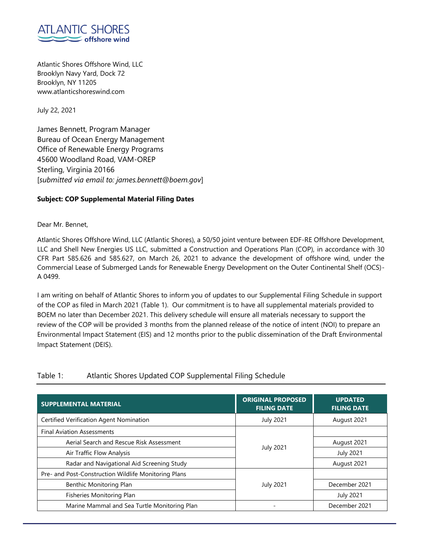

Atlantic Shores Offshore Wind, LLC Brooklyn Navy Yard, Dock 72 Brooklyn, NY 11205 www.atlanticshoreswind.com

July 22, 2021

James Bennett, Program Manager Bureau of Ocean Energy Management Office of Renewable Energy Programs 45600 Woodland Road, VAM-OREP Sterling, Virginia 20166 [*submitted via email to: james.bennett@boem.gov*]

## **Subject: COP Supplemental Material Filing Dates**

Dear Mr. Bennet,

Atlantic Shores Offshore Wind, LLC (Atlantic Shores), a 50/50 joint venture between EDF-RE Offshore Development, LLC and Shell New Energies US LLC, submitted a Construction and Operations Plan (COP), in accordance with 30 CFR Part 585.626 and 585.627, on March 26, 2021 to advance the development of offshore wind, under the Commercial Lease of Submerged Lands for Renewable Energy Development on the Outer Continental Shelf (OCS)- A 0499.

I am writing on behalf of Atlantic Shores to inform you of updates to our Supplemental Filing Schedule in support of the COP as filed in March 2021 (Table 1). Our commitment is to have all supplemental materials provided to BOEM no later than December 2021. This delivery schedule will ensure all materials necessary to support the review of the COP will be provided 3 months from the planned release of the notice of intent (NOI) to prepare an Environmental Impact Statement (EIS) and 12 months prior to the public dissemination of the Draft Environmental Impact Statement (DEIS).

| <b>SUPPLEMENTAL MATERIAL</b>                         | <b>ORIGINAL PROPOSED</b> | <b>UPDATED</b>     |
|------------------------------------------------------|--------------------------|--------------------|
|                                                      | <b>FILING DATE</b>       | <b>FILING DATE</b> |
| Certified Verification Agent Nomination              | <b>July 2021</b>         | August 2021        |
| <b>Final Aviation Assessments</b>                    |                          |                    |
| Aerial Search and Rescue Risk Assessment             |                          | August 2021        |
| Air Traffic Flow Analysis                            | <b>July 2021</b>         | <b>July 2021</b>   |
| Radar and Navigational Aid Screening Study           |                          | August 2021        |
| Pre- and Post-Construction Wildlife Monitoring Plans |                          |                    |
| Benthic Monitoring Plan                              | <b>July 2021</b>         | December 2021      |
| Fisheries Monitoring Plan                            |                          | <b>July 2021</b>   |
| Marine Mammal and Sea Turtle Monitoring Plan         |                          | December 2021      |

## Table 1: Atlantic Shores Updated COP Supplemental Filing Schedule